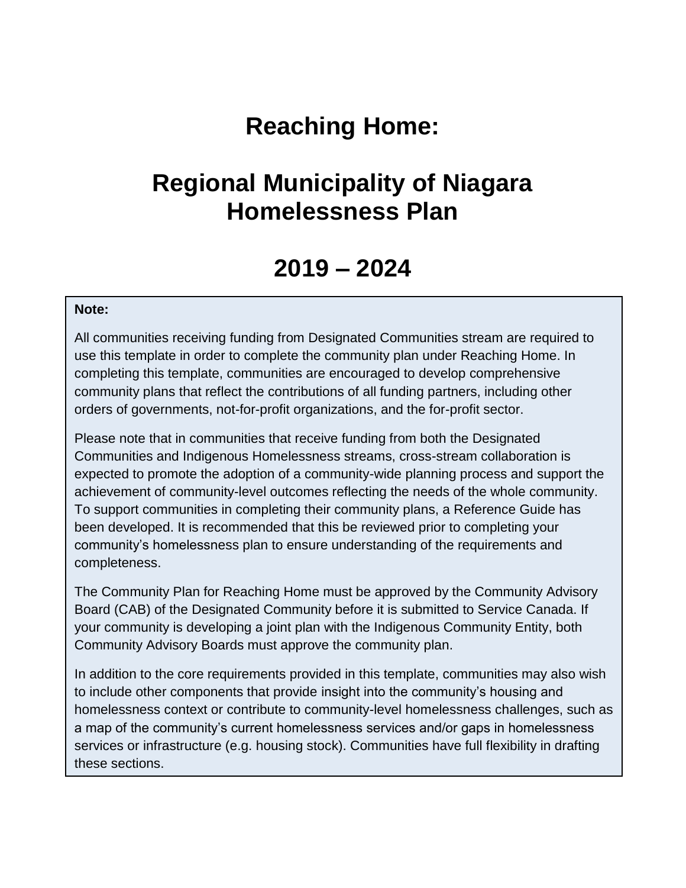# **Reaching Home:**

# **Regional Municipality of Niagara Homelessness Plan**

## **2019 – 2024**

### **Note:**

All communities receiving funding from Designated Communities stream are required to use this template in order to complete the community plan under Reaching Home. In completing this template, communities are encouraged to develop comprehensive community plans that reflect the contributions of all funding partners, including other orders of governments, not-for-profit organizations, and the for-profit sector.

Please note that in communities that receive funding from both the Designated Communities and Indigenous Homelessness streams, cross-stream collaboration is expected to promote the adoption of a community-wide planning process and support the achievement of community-level outcomes reflecting the needs of the whole community. To support communities in completing their community plans, a Reference Guide has been developed. It is recommended that this be reviewed prior to completing your community's homelessness plan to ensure understanding of the requirements and completeness.

The Community Plan for Reaching Home must be approved by the Community Advisory Board (CAB) of the Designated Community before it is submitted to Service Canada. If your community is developing a joint plan with the Indigenous Community Entity, both Community Advisory Boards must approve the community plan.

In addition to the core requirements provided in this template, communities may also wish to include other components that provide insight into the community's housing and homelessness context or contribute to community-level homelessness challenges, such as a map of the community's current homelessness services and/or gaps in homelessness services or infrastructure (e.g. housing stock). Communities have full flexibility in drafting these sections.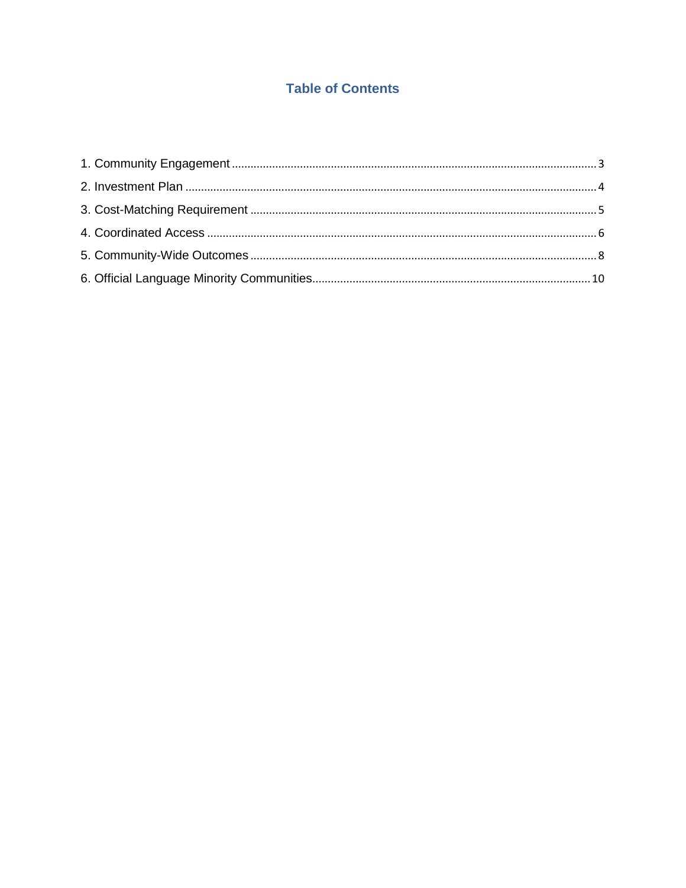## **Table of Contents**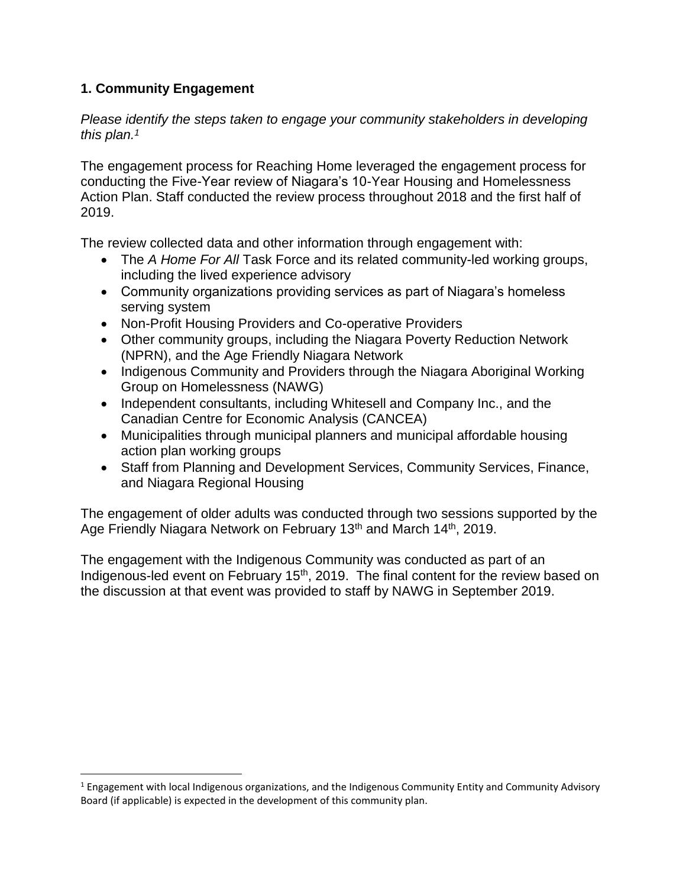## <span id="page-2-0"></span>**1. Community Engagement**

 $\overline{\phantom{a}}$ 

*Please identify the steps taken to engage your community stakeholders in developing this plan. 1*

The engagement process for Reaching Home leveraged the engagement process for conducting the Five-Year review of Niagara's 10-Year Housing and Homelessness Action Plan. Staff conducted the review process throughout 2018 and the first half of 2019.

The review collected data and other information through engagement with:

- The *A Home For All* Task Force and its related community-led working groups, including the lived experience advisory
- Community organizations providing services as part of Niagara's homeless serving system
- Non-Profit Housing Providers and Co-operative Providers
- Other community groups, including the Niagara Poverty Reduction Network (NPRN), and the Age Friendly Niagara Network
- Indigenous Community and Providers through the Niagara Aboriginal Working Group on Homelessness (NAWG)
- Independent consultants, including Whitesell and Company Inc., and the Canadian Centre for Economic Analysis (CANCEA)
- Municipalities through municipal planners and municipal affordable housing action plan working groups
- Staff from Planning and Development Services, Community Services, Finance, and Niagara Regional Housing

The engagement of older adults was conducted through two sessions supported by the Age Friendly Niagara Network on February 13<sup>th</sup> and March 14<sup>th</sup>, 2019.

The engagement with the Indigenous Community was conducted as part of an Indigenous-led event on February 15<sup>th</sup>, 2019. The final content for the review based on the discussion at that event was provided to staff by NAWG in September 2019.

 $1$  Engagement with local Indigenous organizations, and the Indigenous Community Entity and Community Advisory Board (if applicable) is expected in the development of this community plan.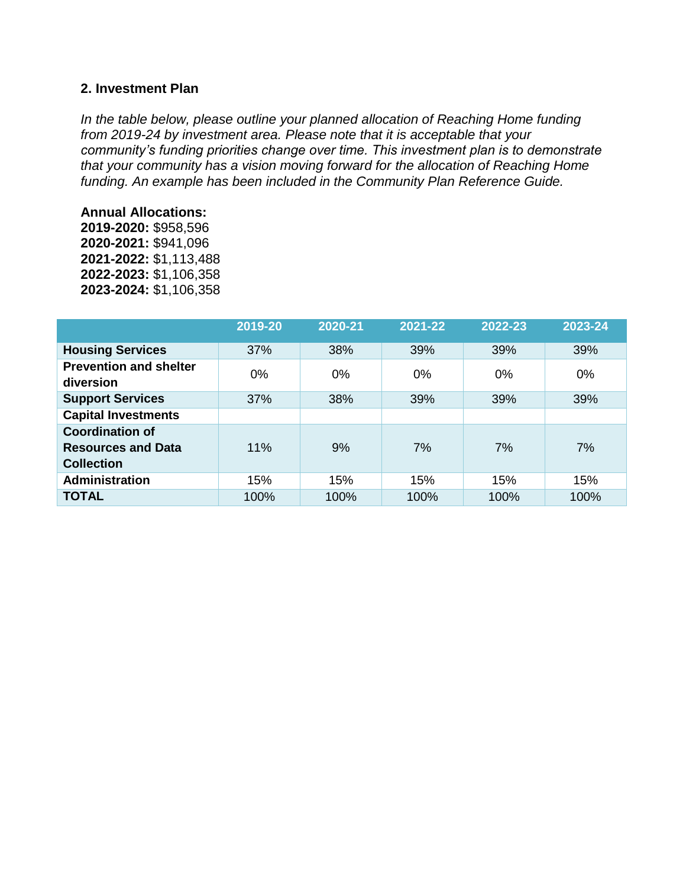### <span id="page-3-0"></span>**2. Investment Plan**

*In the table below, please outline your planned allocation of Reaching Home funding from 2019-24 by investment area. Please note that it is acceptable that your community's funding priorities change over time. This investment plan is to demonstrate that your community has a vision moving forward for the allocation of Reaching Home funding. An example has been included in the Community Plan Reference Guide.* 

#### **Annual Allocations:**

**2019-2020:** \$958,596 **2020-2021:** \$941,096 **2021-2022:** \$1,113,488 **2022-2023:** \$1,106,358 **2023-2024:** \$1,106,358

|                                                                          | 2019-20 | 2020-21 | 2021-22 | 2022-23 | 2023-24 |
|--------------------------------------------------------------------------|---------|---------|---------|---------|---------|
| <b>Housing Services</b>                                                  | 37%     | 38%     | 39%     | 39%     | 39%     |
| <b>Prevention and shelter</b><br>diversion                               | $0\%$   | $0\%$   | $0\%$   | $0\%$   | 0%      |
| <b>Support Services</b>                                                  | 37%     | 38%     | 39%     | 39%     | 39%     |
| <b>Capital Investments</b>                                               |         |         |         |         |         |
| <b>Coordination of</b><br><b>Resources and Data</b><br><b>Collection</b> | 11%     | 9%      | 7%      | 7%      | 7%      |
| <b>Administration</b>                                                    | 15%     | 15%     | 15%     | 15%     | 15%     |
| <b>TOTAL</b>                                                             | 100%    | 100%    | 100%    | 100%    | 100%    |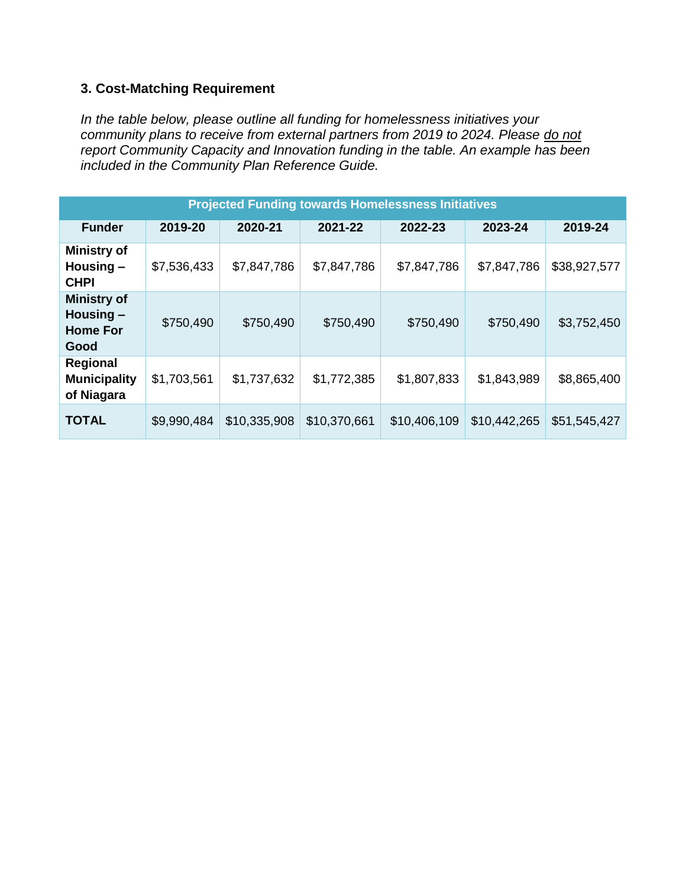## <span id="page-4-0"></span>**3. Cost-Matching Requirement**

*In the table below, please outline all funding for homelessness initiatives your community plans to receive from external partners from 2019 to 2024. Please do not report Community Capacity and Innovation funding in the table. An example has been included in the Community Plan Reference Guide.* 

| <b>Projected Funding towards Homelessness Initiatives</b>    |             |              |              |              |              |              |  |  |  |
|--------------------------------------------------------------|-------------|--------------|--------------|--------------|--------------|--------------|--|--|--|
| <b>Funder</b>                                                | 2019-20     | 2020-21      | 2021-22      | 2022-23      | 2023-24      | 2019-24      |  |  |  |
| <b>Ministry of</b><br>Housing $-$<br><b>CHPI</b>             | \$7,536,433 | \$7,847,786  | \$7,847,786  | \$7,847,786  | \$7,847,786  | \$38,927,577 |  |  |  |
| <b>Ministry of</b><br>Housing $-$<br><b>Home For</b><br>Good | \$750,490   | \$750,490    | \$750,490    | \$750,490    | \$750,490    | \$3,752,450  |  |  |  |
| Regional<br><b>Municipality</b><br>of Niagara                | \$1,703,561 | \$1,737,632  | \$1,772,385  | \$1,807,833  | \$1,843,989  | \$8,865,400  |  |  |  |
| <b>TOTAL</b>                                                 | \$9,990,484 | \$10,335,908 | \$10,370,661 | \$10,406,109 | \$10,442,265 | \$51,545,427 |  |  |  |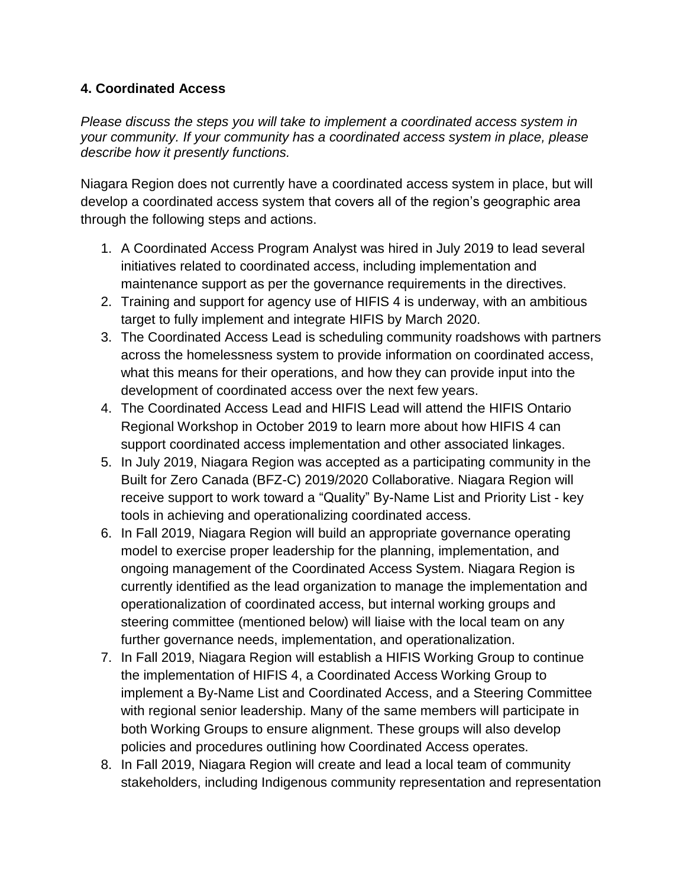## <span id="page-5-0"></span>**4. Coordinated Access**

*Please discuss the steps you will take to implement a coordinated access system in your community. If your community has a coordinated access system in place, please describe how it presently functions.* 

Niagara Region does not currently have a coordinated access system in place, but will develop a coordinated access system that covers all of the region's geographic area through the following steps and actions.

- 1. A Coordinated Access Program Analyst was hired in July 2019 to lead several initiatives related to coordinated access, including implementation and maintenance support as per the governance requirements in the directives.
- 2. Training and support for agency use of HIFIS 4 is underway, with an ambitious target to fully implement and integrate HIFIS by March 2020.
- 3. The Coordinated Access Lead is scheduling community roadshows with partners across the homelessness system to provide information on coordinated access, what this means for their operations, and how they can provide input into the development of coordinated access over the next few years.
- 4. The Coordinated Access Lead and HIFIS Lead will attend the HIFIS Ontario Regional Workshop in October 2019 to learn more about how HIFIS 4 can support coordinated access implementation and other associated linkages.
- 5. In July 2019, Niagara Region was accepted as a participating community in the Built for Zero Canada (BFZ-C) 2019/2020 Collaborative. Niagara Region will receive support to work toward a "Quality" By-Name List and Priority List - key tools in achieving and operationalizing coordinated access.
- 6. In Fall 2019, Niagara Region will build an appropriate governance operating model to exercise proper leadership for the planning, implementation, and ongoing management of the Coordinated Access System. Niagara Region is currently identified as the lead organization to manage the implementation and operationalization of coordinated access, but internal working groups and steering committee (mentioned below) will liaise with the local team on any further governance needs, implementation, and operationalization.
- 7. In Fall 2019, Niagara Region will establish a HIFIS Working Group to continue the implementation of HIFIS 4, a Coordinated Access Working Group to implement a By-Name List and Coordinated Access, and a Steering Committee with regional senior leadership. Many of the same members will participate in both Working Groups to ensure alignment. These groups will also develop policies and procedures outlining how Coordinated Access operates.
- 8. In Fall 2019, Niagara Region will create and lead a local team of community stakeholders, including Indigenous community representation and representation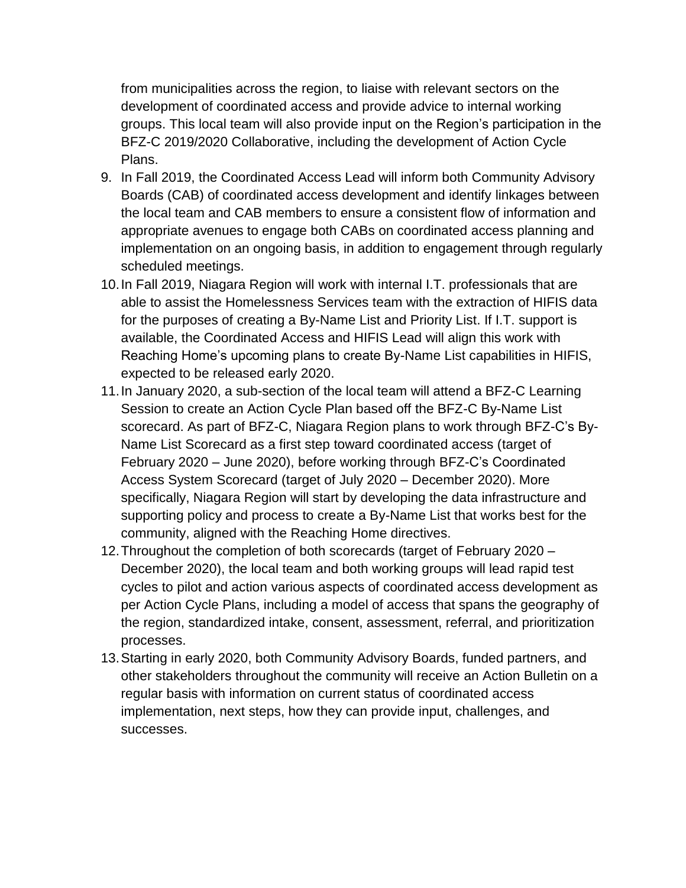from municipalities across the region, to liaise with relevant sectors on the development of coordinated access and provide advice to internal working groups. This local team will also provide input on the Region's participation in the BFZ-C 2019/2020 Collaborative, including the development of Action Cycle Plans.

- 9. In Fall 2019, the Coordinated Access Lead will inform both Community Advisory Boards (CAB) of coordinated access development and identify linkages between the local team and CAB members to ensure a consistent flow of information and appropriate avenues to engage both CABs on coordinated access planning and implementation on an ongoing basis, in addition to engagement through regularly scheduled meetings.
- 10.In Fall 2019, Niagara Region will work with internal I.T. professionals that are able to assist the Homelessness Services team with the extraction of HIFIS data for the purposes of creating a By-Name List and Priority List. If I.T. support is available, the Coordinated Access and HIFIS Lead will align this work with Reaching Home's upcoming plans to create By-Name List capabilities in HIFIS, expected to be released early 2020.
- 11.In January 2020, a sub-section of the local team will attend a BFZ-C Learning Session to create an Action Cycle Plan based off the BFZ-C By-Name List scorecard. As part of BFZ-C, Niagara Region plans to work through BFZ-C's By-Name List Scorecard as a first step toward coordinated access (target of February 2020 – June 2020), before working through BFZ-C's Coordinated Access System Scorecard (target of July 2020 – December 2020). More specifically, Niagara Region will start by developing the data infrastructure and supporting policy and process to create a By-Name List that works best for the community, aligned with the Reaching Home directives.
- 12.Throughout the completion of both scorecards (target of February 2020 December 2020), the local team and both working groups will lead rapid test cycles to pilot and action various aspects of coordinated access development as per Action Cycle Plans, including a model of access that spans the geography of the region, standardized intake, consent, assessment, referral, and prioritization processes.
- 13.Starting in early 2020, both Community Advisory Boards, funded partners, and other stakeholders throughout the community will receive an Action Bulletin on a regular basis with information on current status of coordinated access implementation, next steps, how they can provide input, challenges, and successes.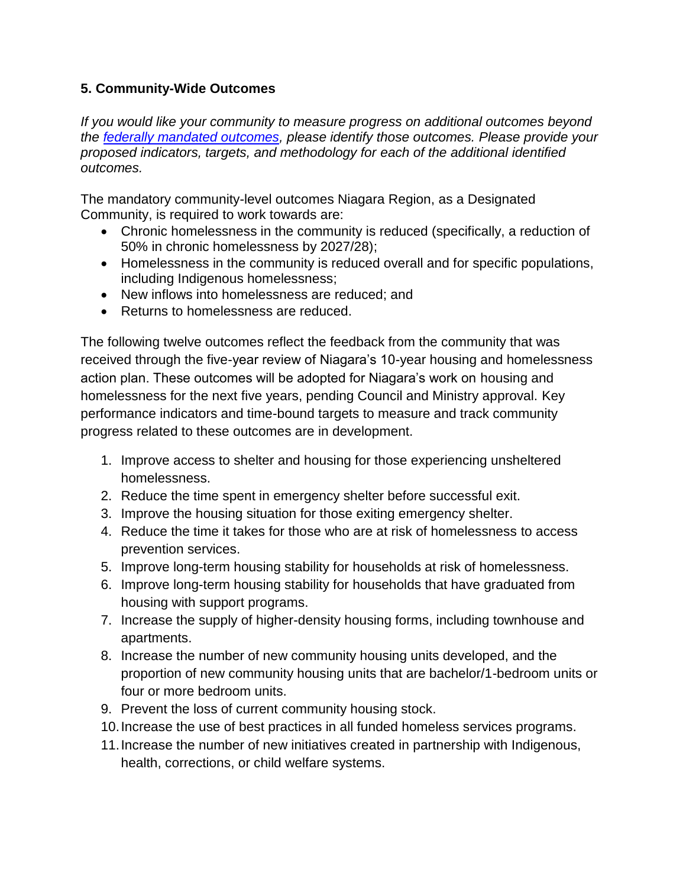## <span id="page-7-0"></span>**5. Community-Wide Outcomes**

*If you would like your community to measure progress on additional outcomes beyond the [federally mandated outcomes,](https://www.canada.ca/en/employment-social-development/programs/homelessness/directives.html#h2.3-h3.3) please identify those outcomes. Please provide your proposed indicators, targets, and methodology for each of the additional identified outcomes.* 

The mandatory community-level outcomes Niagara Region, as a Designated Community, is required to work towards are:

- Chronic homelessness in the community is reduced (specifically, a reduction of 50% in chronic homelessness by 2027/28);
- Homelessness in the community is reduced overall and for specific populations, including Indigenous homelessness;
- New inflows into homelessness are reduced; and
- Returns to homelessness are reduced.

The following twelve outcomes reflect the feedback from the community that was received through the five-year review of Niagara's 10-year housing and homelessness action plan. These outcomes will be adopted for Niagara's work on housing and homelessness for the next five years, pending Council and Ministry approval. Key performance indicators and time-bound targets to measure and track community progress related to these outcomes are in development.

- 1. Improve access to shelter and housing for those experiencing unsheltered homelessness.
- 2. Reduce the time spent in emergency shelter before successful exit.
- 3. Improve the housing situation for those exiting emergency shelter.
- 4. Reduce the time it takes for those who are at risk of homelessness to access prevention services.
- 5. Improve long-term housing stability for households at risk of homelessness.
- 6. Improve long-term housing stability for households that have graduated from housing with support programs.
- 7. Increase the supply of higher-density housing forms, including townhouse and apartments.
- 8. Increase the number of new community housing units developed, and the proportion of new community housing units that are bachelor/1-bedroom units or four or more bedroom units.
- 9. Prevent the loss of current community housing stock.
- 10.Increase the use of best practices in all funded homeless services programs.
- 11.Increase the number of new initiatives created in partnership with Indigenous, health, corrections, or child welfare systems.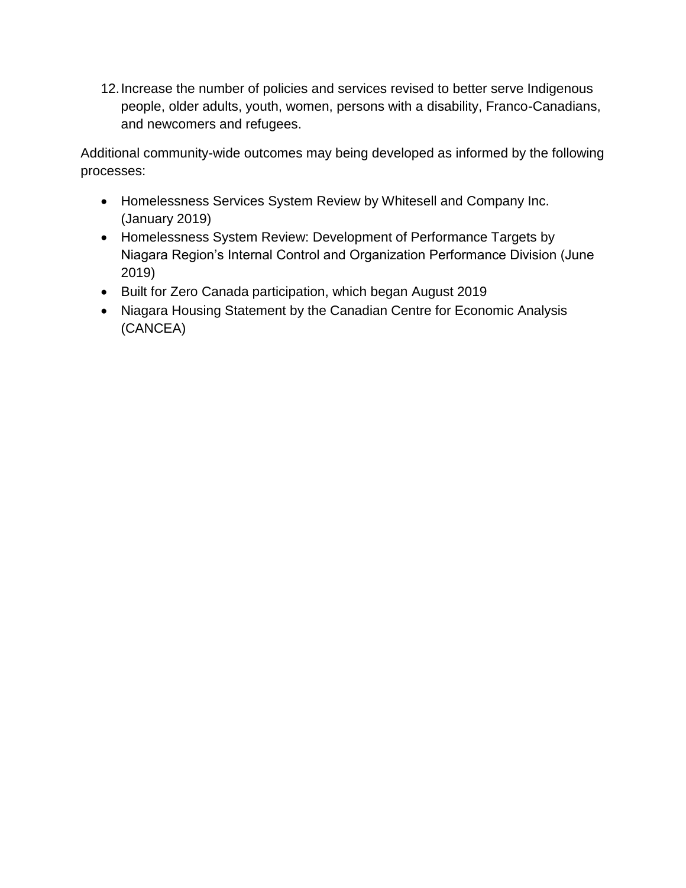12.Increase the number of policies and services revised to better serve Indigenous people, older adults, youth, women, persons with a disability, Franco-Canadians, and newcomers and refugees.

Additional community-wide outcomes may being developed as informed by the following processes:

- Homelessness Services System Review by Whitesell and Company Inc. (January 2019)
- Homelessness System Review: Development of Performance Targets by Niagara Region's Internal Control and Organization Performance Division (June 2019)
- Built for Zero Canada participation, which began August 2019
- <span id="page-8-0"></span>• Niagara Housing Statement by the Canadian Centre for Economic Analysis (CANCEA)